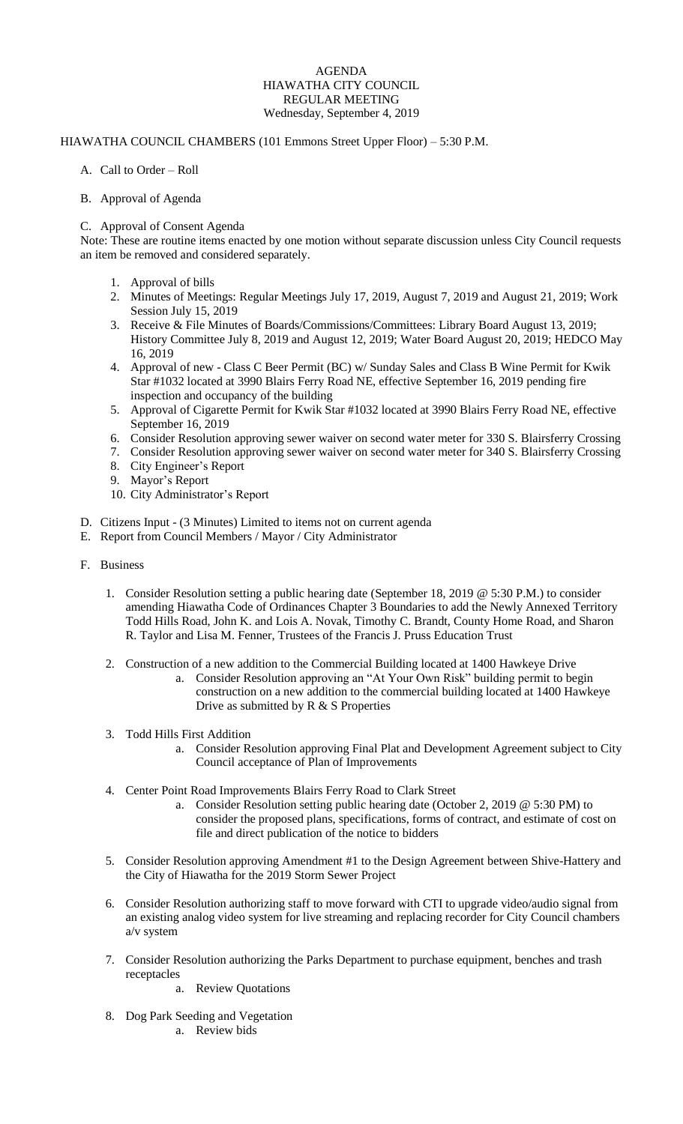## AGENDA HIAWATHA CITY COUNCIL REGULAR MEETING Wednesday, September 4, 2019

## HIAWATHA COUNCIL CHAMBERS (101 Emmons Street Upper Floor) – 5:30 P.M.

### A. Call to Order – Roll

#### B. Approval of Agenda

#### C. Approval of Consent Agenda

Note: These are routine items enacted by one motion without separate discussion unless City Council requests an item be removed and considered separately.

- 1. Approval of bills
- 2. Minutes of Meetings: Regular Meetings July 17, 2019, August 7, 2019 and August 21, 2019; Work Session July 15, 2019
- 3. Receive & File Minutes of Boards/Commissions/Committees: Library Board August 13, 2019; History Committee July 8, 2019 and August 12, 2019; Water Board August 20, 2019; HEDCO May 16, 2019
- 4. Approval of new Class C Beer Permit (BC) w/ Sunday Sales and Class B Wine Permit for Kwik Star #1032 located at 3990 Blairs Ferry Road NE, effective September 16, 2019 pending fire inspection and occupancy of the building
- 5. Approval of Cigarette Permit for Kwik Star #1032 located at 3990 Blairs Ferry Road NE, effective September 16, 2019
- 6. Consider Resolution approving sewer waiver on second water meter for 330 S. Blairsferry Crossing
- 7. Consider Resolution approving sewer waiver on second water meter for 340 S. Blairsferry Crossing
- 8. City Engineer's Report
- 9. Mayor's Report
- 10. City Administrator's Report
- D. Citizens Input (3 Minutes) Limited to items not on current agenda
- E. Report from Council Members / Mayor / City Administrator
- F. Business
	- 1. Consider Resolution setting a public hearing date (September 18, 2019 @ 5:30 P.M.) to consider amending Hiawatha Code of Ordinances Chapter 3 Boundaries to add the Newly Annexed Territory Todd Hills Road, John K. and Lois A. Novak, Timothy C. Brandt, County Home Road, and Sharon R. Taylor and Lisa M. Fenner, Trustees of the Francis J. Pruss Education Trust
	- 2. Construction of a new addition to the Commercial Building located at 1400 Hawkeye Drive
		- a. Consider Resolution approving an "At Your Own Risk" building permit to begin construction on a new addition to the commercial building located at 1400 Hawkeye Drive as submitted by R & S Properties
	- 3. Todd Hills First Addition
		- a. Consider Resolution approving Final Plat and Development Agreement subject to City Council acceptance of Plan of Improvements
	- 4. Center Point Road Improvements Blairs Ferry Road to Clark Street
		- a. Consider Resolution setting public hearing date (October 2, 2019 @ 5:30 PM) to consider the proposed plans, specifications, forms of contract, and estimate of cost on file and direct publication of the notice to bidders
	- 5. Consider Resolution approving Amendment #1 to the Design Agreement between Shive-Hattery and the City of Hiawatha for the 2019 Storm Sewer Project
	- 6. Consider Resolution authorizing staff to move forward with CTI to upgrade video/audio signal from an existing analog video system for live streaming and replacing recorder for City Council chambers a/v system
	- 7. Consider Resolution authorizing the Parks Department to purchase equipment, benches and trash receptacles
		- a. Review Quotations
	- 8. Dog Park Seeding and Vegetation
		- a. Review bids